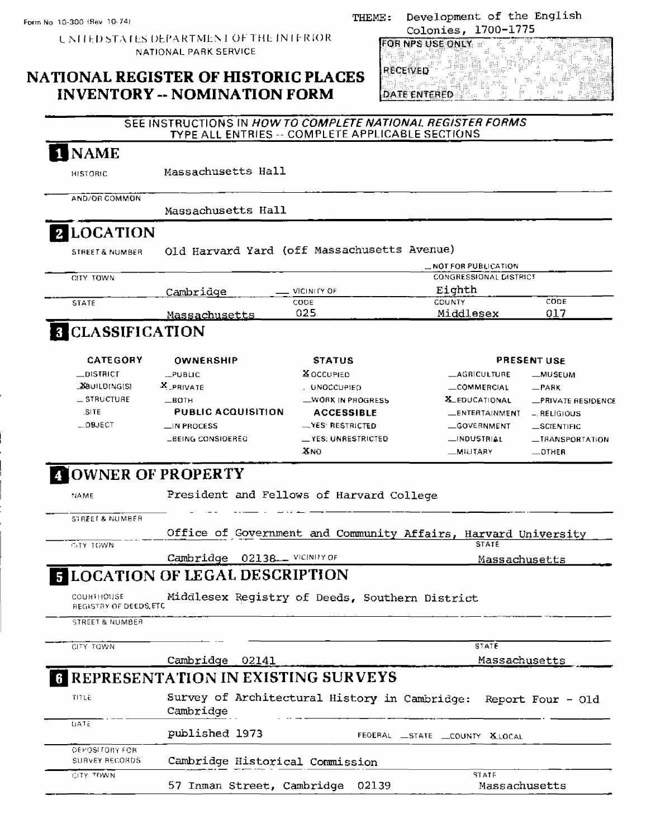**UNITED STATES DEPARTMENT OF THE INTERIOR** NATIONAL PARK SERVICE

### NATIONAL REGISTER OF HISTORIC PLACES **INVENTORY -- NOMINATION FORM**

#### Development of the English THEME: Colonies, 1700-1775

**FOR NPS USE ONLY** W. le y **RECEIVED** albert<br>Belgi AF.  $\sim$ in st. **DATE ENTERED** 

#### SEE INSTRUCTIONS IN HOW TO COMPLETE NATIONAL REGISTER FORMS TYPE ALL ENTRIES -- COMPLETE APPLICABLE SECTIONS **I NAME** Massachusetts Hall **HISTORIC** AND/OR COMMON Massachusetts Hall **2** LOCATION Old Harvard Yard (off Massachusetts Avenue) STREET & NUMBER

|              |               |             | $\equiv$ NOT FOR PUBLICATION  |      |  |
|--------------|---------------|-------------|-------------------------------|------|--|
| CITY TOWN    |               |             | <b>CONGRESSIONAL DISTRICT</b> |      |  |
|              | Cambridge     | VICINITY OF | Eighth                        |      |  |
| <b>STATE</b> |               | CODE        | COUNTY                        | CODE |  |
|              | Massachusetts | 025         | Middlesex                     | 017  |  |

### **B** CLASSIFICATION

| <b>CATEGORY</b>    | OWNERSHIP                 | <b>STATUS</b>               |                       | <b>PRESENT USE</b> |
|--------------------|---------------------------|-----------------------------|-----------------------|--------------------|
| $\equiv$ DISTRICT  | LPUBLIC                   | & OCCUPIED                  | <b>LAGRICULTURE</b>   | <b>_MUSEUM</b>     |
| <b>BUILDING(S)</b> | X PRIVATE                 | . UNOCCUPIED                | <b>LCOMMERCIAL</b>    | $-$ PARK           |
| $=$ STRUCTURE.     | $-BOTH$                   | WORK IN PROGRESS            | <b>X_EDUCATIONAL</b>  | -PRIVATE RESIDENCE |
| SITE               | <b>PUBLIC ACQUISITION</b> | <b>ACCESSIBLE</b>           | <b>LENTERTAINMENT</b> | - RELIGIOUS        |
| $ 0$ BJECT         | $\Box$ IN PROCESS         | $N$ YES RESTRICTED          | <b>GOVERNMENT</b>     | _SCIENTIFIC        |
|                    | <b>LBEING CONSIDERED</b>  | $\equiv$ YES: UNRESTRICTED. | $\Box$ INDUSTRIAL     | _IRANSPORTATION    |
|                    |                           | XNO                         | <b>MILITARY</b>       | $-$ OTHER          |

# **NOWNER OF PROPERTY**

|                              | Office of Government and Community Affairs, Harvard University                          |
|------------------------------|-----------------------------------------------------------------------------------------|
|                              |                                                                                         |
|                              |                                                                                         |
|                              | <b>STATE</b>                                                                            |
| Cambridge 02138. VICINITY OF | Massachusetts                                                                           |
|                              |                                                                                         |
|                              | <b>STATE</b>                                                                            |
| Cambridge 02141              | Massachusetts                                                                           |
|                              | <b>ELOCATION OF LEGAL DESCRIPTION</b><br>Middlesex Registry of Deeds, Southern District |

|                                  | Cambridge                        |                             |
|----------------------------------|----------------------------------|-----------------------------|
| LIATE                            | published 1973                   | FEDERAL STATE COUNTY XLOCAL |
| OEPOSITORY FOR<br>SURVEY RECORDS | Cambridge Historical Commission  |                             |
| CITY TOWN                        | 57 Inman Street, Cambridge 02139 | SIATE<br>Massachusetts      |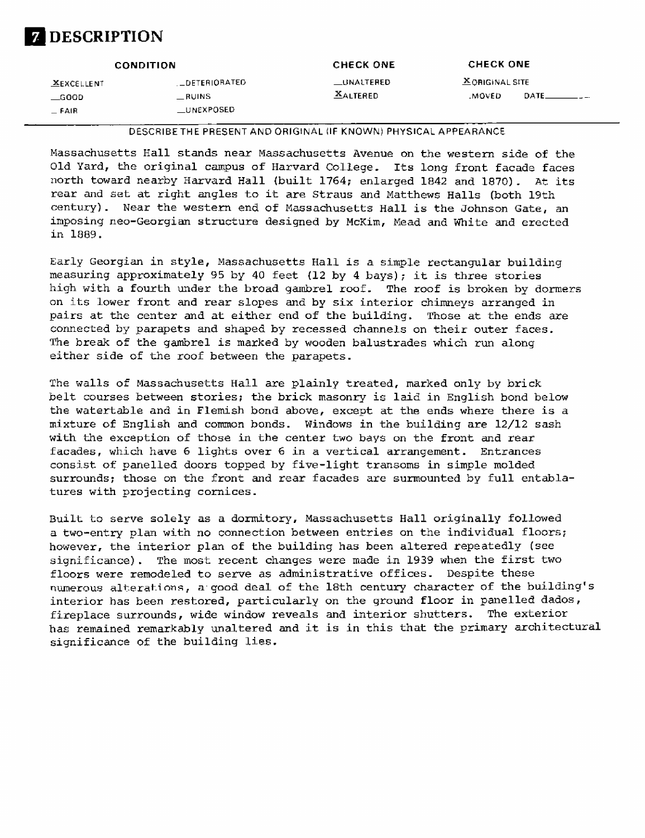

|                                                                                                |                   | <b>CONDITION</b>     | <b>CHECK ONE</b>  | <b>CHECK ONE</b>      |  |
|------------------------------------------------------------------------------------------------|-------------------|----------------------|-------------------|-----------------------|--|
| <b>XALTERED</b><br>MOVED<br>DATE.<br>$\equiv$ RUINS<br>$\equiv$ GOOD<br>_UNEXPOSED<br>$-$ FAIR | <b>XEXCELLENT</b> | <b>_DETERIORATED</b> | <b>LUNALTERED</b> | <b>XORIGINAL SITE</b> |  |

DESCRIBETHE PRESENT AND ORIGINAL (IF KNOWN) PHYSICAL APPEARANCE

Massachusetts Hall stands near Massachusetts Avenue on the western side of the Old Yard, the original campus of Harvard College. Its long front facade faces north toward nearby Harvard Hall (built 1764; enlarged 1842 and 1870). At its rear and set at right angles to it are Straus and Matthews Halls (both 19th century). Near the western end of Massachusetts Hall is the Johnson Gate, an imposing neo-Georgian structure designed by McKim, Mead and White and erected in 1889.

Early Georgian in style, Massachusetts Hall is a simple rectangular building measuring approximately 95 by 40 feet (12 by 4 bays); it is three stories high with a fourth under the broad gambrel roof. The roof is broken by dormers on its lower front and rear slopes and by six interior chimneys arranged in pairs at the center and at either end of the building. Those at the ends are connected by parapets and shaped by recessed channels on their outer faces. The break of the gambrel is marked by wooden balustrades which run along either side of the roof between the parapets.

The walls of Massachusetts Hall are plainly treated, marked only by brick belt courses between stories; the brick masonry is laid in English bond below the watertable and in Flemish bond above, except at the ends where there is a mixture of English and common bonds. Windows in the building are 12/12 sash with the exception of those in the center two bays on the front and rear facades, which have 6 lights over 6 in a vertical arrangement. Entrances consist of panelled doors topped by five-light transoms in simple molded surrounds; those on the front and rear facades are surmounted by full entablatures with projecting cornices.

Built to serve solely as a dormitory, Massachusetts Hall originally followed a two-entry plan with no connection between entries on the individual floors; however, the interior plan of the building has been altered repeatedly (see significance). The most recent changes were made in 1939 when the first two floors were remodeled to serve as administrative offices. Despite these numerous alterations, a good deal of the 18th century character of the building's interior has been restored, particularly on the ground floor in panelled dados, fireplace surrounds, wide window reveals and interior shutters. The exterior has remained remarkably unaltered and it is in this that the primary architectural significance of the building lies.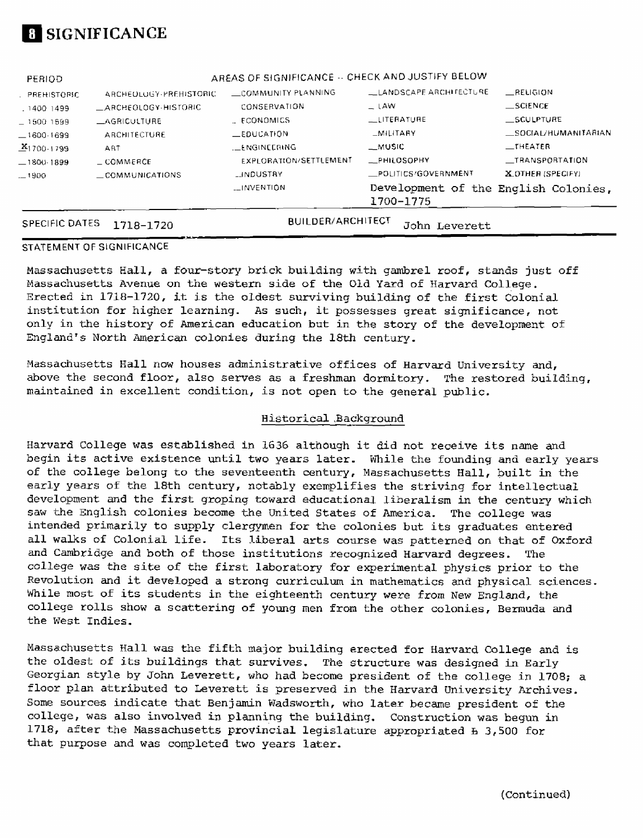

| <b>SPECIFIC DATES</b> | 1718-1720                    | <b>BUILDER/ARCHITECT</b>                         | John Leverett                                     |                     |
|-----------------------|------------------------------|--------------------------------------------------|---------------------------------------------------|---------------------|
|                       |                              | <b>LINVENTION</b>                                | Development of the English Colonies,<br>1700-1775 |                     |
| $-1900$               | $\equiv$ COMMUNICATIONS      | <b>LINDUSTRY</b>                                 | - POLITICS/GOVERNMENT                             | X OTHER (SPECIFY)   |
| $-1800-1899$          | $\equiv$ COMMERCE            | <b>FXPLORATION/SETTLEMENT</b>                    | <b>_PHILOSOPHY</b>                                | _TRANSPORTATION     |
| $241700 + 799$        | ART                          | LENGINEERING                                     | __MUSIC                                           | $\_$ THEATER        |
| $-1600.1699$          | ARCHITECTURE                 | <b>LEDUCATION</b>                                | $-MILITARY$                                       | SOCIAL/HUMANITARIAN |
| $-1500, 1599$         | <b>LAGRICULTURE</b>          | <b>ECONOMICS</b>                                 | <b>LLITERATURE</b>                                | SCULPTURE           |
| . 1400 1499           | $\equiv$ ARCHEOLOGY-HISTORIC | CONSERVATION                                     | $\_$ LAW                                          | $\equiv$ SCIENCE    |
| . PREHISTORIC         | ARCHEOLOGY-PREHISTORIC       | COMMUNITY PLANNING                               | L. LANDSCAPE ARCHITECTURE                         | RELIGION            |
| PERIOD                |                              | AREAS OF SIGNIFICANCE -- CHECK AND JUSTIFY BELOW |                                                   |                     |

#### STATEMENT OF SIGNIFICANCE

Massachusetts Hall, a four-story brick building with gambrel roof, stands just off Massachusetts Avenue on the western side of the Old Yard of Harvard College. Erected in 1718-1720, it is the oldest surviving building of the first Colonial institution for higher learning. As such, it possesses great significance, not only in the history of American education but in the story of the development of England's North American colonies during the 18th century.

Massachusetts Hall now houses administrative offices of Harvard University and, above the second floor, also serves as a freshman dormitory. The restored building, maintained in excellent condition, is not open to the general public.

#### Historical^Background

Harvard College was established in 1636 although it did not receive its name and begin its active existence until two years later. While the founding and early years of the college belong to the seventeenth century, Massachusetts Hall, built in the early years of the 18th century, notably exemplifies the striving for intellectual development and the first groping toward educational liberalism in the century which saw the English colonies become the United States of America. The college was intended primarily to supply clergymen for the colonies but its graduates entered all walks of Colonial life. Its liberal arts course was patterned on that of Oxford and Cambridge and both of those institutions recognized Harvard degrees. The college was the site of the first laboratory for experimental physics prior to the Revolution and it developed a strong curriculum in mathematics and physical sciences. While most of its students in the eighteenth century were from New England, the college rolls show a scattering of young men from the other colonies, Bermuda and the West Indies.

Massachusetts Hall was the fifth major building erected for Harvard College and is the oldest of its buildings that survives. The structure was designed in Early Georgian style by John Leverett, who had become president of the college in 1703; a floor plan attributed to Leverett is preserved in the Harvard University Archives. Some sources indicate that Benjamin Wadsworth, who later became president of the college, was also involved in planning the building. Construction was begun in 1718, after the Massachusetts provincial legislature appropriated  $f_2$  500 for that purpose and was completed two years later.